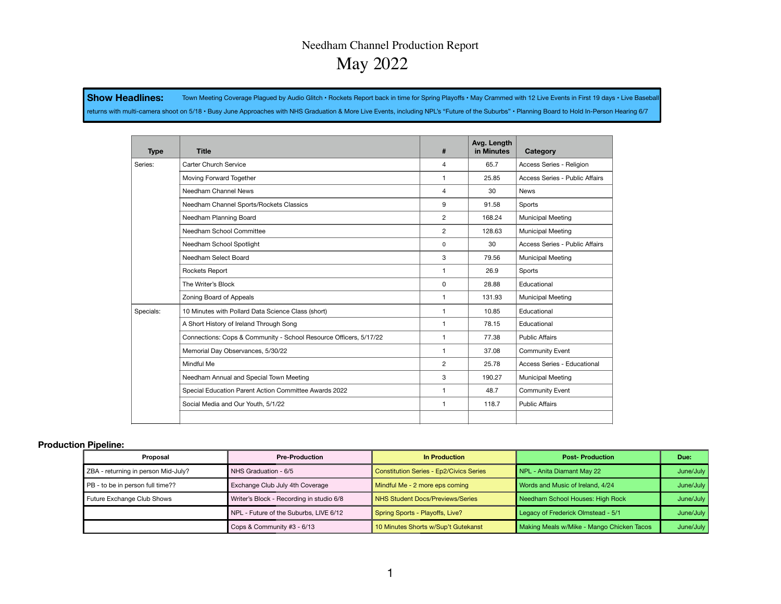# Needham Channel Production Report May 2022

Show Headlines: Town Meeting Coverage Plagued by Audio Glitch · Rockets Report back in time for Spring Playoffs · May Crammed with 12 Live Events in First 19 days · Live Basebal

returns with multi-camera shoot on 5/18 • Busy June Approaches with NHS Graduation & More Live Events, including NPL's "Future of the Suburbs" • Planning Board to Hold In-Person Hearing 6/7

| <b>Type</b> | <b>Title</b>                                                      | #              | Avg. Length<br>in Minutes | Category                       |
|-------------|-------------------------------------------------------------------|----------------|---------------------------|--------------------------------|
| Series:     | Carter Church Service                                             | $\overline{4}$ | 65.7                      | Access Series - Religion       |
|             | Moving Forward Together                                           | $\mathbf{1}$   | 25.85                     | Access Series - Public Affairs |
|             | Needham Channel News                                              | $\overline{4}$ | 30                        | <b>News</b>                    |
|             | Needham Channel Sports/Rockets Classics                           | 9              | 91.58                     | Sports                         |
|             | Needham Planning Board                                            | $\overline{2}$ | 168.24                    | <b>Municipal Meeting</b>       |
|             | Needham School Committee                                          | $\overline{c}$ | 128.63                    | <b>Municipal Meeting</b>       |
|             | Needham School Spotlight                                          | 0              | 30                        | Access Series - Public Affairs |
|             | Needham Select Board                                              | 3              | 79.56                     | <b>Municipal Meeting</b>       |
|             | Rockets Report                                                    | $\mathbf{1}$   | 26.9                      | Sports                         |
|             | The Writer's Block                                                | 0              | 28.88                     | Educational                    |
|             | Zoning Board of Appeals                                           | $\mathbf{1}$   | 131.93                    | <b>Municipal Meeting</b>       |
| Specials:   | 10 Minutes with Pollard Data Science Class (short)                | $\mathbf{1}$   | 10.85                     | Educational                    |
|             | A Short History of Ireland Through Song                           | $\mathbf{1}$   | 78.15                     | Educational                    |
|             | Connections: Cops & Community - School Resource Officers, 5/17/22 | $\mathbf{1}$   | 77.38                     | <b>Public Affairs</b>          |
|             | Memorial Day Observances, 5/30/22                                 | $\mathbf{1}$   | 37.08                     | Community Event                |
|             | Mindful Me                                                        | $\overline{c}$ | 25.78                     | Access Series - Educational    |
|             | Needham Annual and Special Town Meeting                           | 3              | 190.27                    | <b>Municipal Meeting</b>       |
|             | Special Education Parent Action Committee Awards 2022             | $\mathbf{1}$   | 48.7                      | Community Event                |
|             | Social Media and Our Youth, 5/1/22                                | 1              | 118.7                     | <b>Public Affairs</b>          |
|             |                                                                   |                |                           |                                |

#### **Production Pipeline:**

| Proposal                            | <b>Pre-Production</b>                    | In Production                           | <b>Post-Production</b>                    | Due:      |
|-------------------------------------|------------------------------------------|-----------------------------------------|-------------------------------------------|-----------|
| ZBA - returning in person Mid-July? | NHS Graduation - 6/5                     | Constitution Series - Ep2/Civics Series | NPL - Anita Diamant May 22                | June/July |
| PB - to be in person full time??    | Exchange Club July 4th Coverage          | Mindful Me - 2 more eps coming          | Words and Music of Ireland, 4/24          | June/July |
| Future Exchange Club Shows          | Writer's Block - Recording in studio 6/8 | NHS Student Docs/Previews/Series        | Needham School Houses: High Rock          | June/July |
|                                     | NPL - Future of the Suburbs, LIVE 6/12   | Spring Sports - Playoffs, Live?         | Legacy of Frederick Olmstead - 5/1        | June/July |
|                                     | Cops & Community #3 - 6/13               | 10 Minutes Shorts w/Sup't Gutekanst     | Making Meals w/Mike - Mango Chicken Tacos | June/July |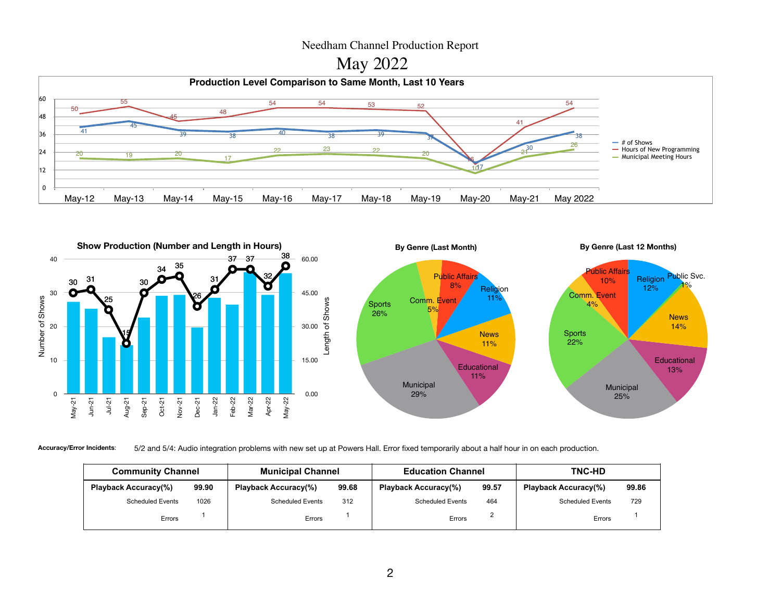## Needham Channel Production Report







**Accuracy/Error Incidents**: 5/2 and 5/4: Audio integration problems with new set up at Powers Hall. Error fixed temporarily about a half hour in on each production.

| <b>Community Channel</b>    |       | <b>Municipal Channel</b>    |       | <b>Education Channel</b>    |       | <b>TNC-HD</b>               |       |
|-----------------------------|-------|-----------------------------|-------|-----------------------------|-------|-----------------------------|-------|
| <b>Playback Accuracy(%)</b> | 99.90 | <b>Playback Accuracy(%)</b> | 99.68 | <b>Playback Accuracy(%)</b> | 99.57 | <b>Playback Accuracy(%)</b> | 99.86 |
| <b>Scheduled Events</b>     | 1026  | <b>Scheduled Events</b>     | 312   | <b>Scheduled Events</b>     | 464   | <b>Scheduled Events</b>     | 729   |
| Errors                      |       | Errors                      |       | Errors                      |       | Errors                      |       |